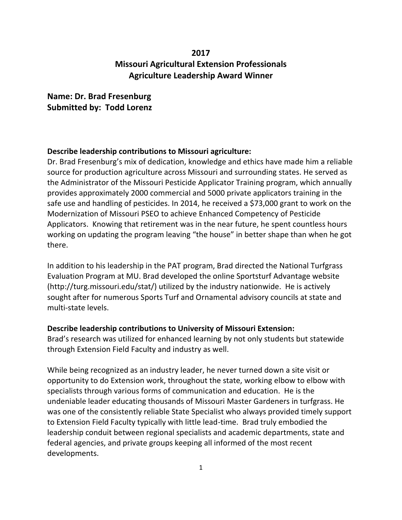## **2017 Missouri Agricultural Extension Professionals Agriculture Leadership Award Winner**

## **Name: Dr. Brad Fresenburg Submitted by: Todd Lorenz**

## **Describe leadership contributions to Missouri agriculture:**

Dr. Brad Fresenburg's mix of dedication, knowledge and ethics have made him a reliable source for production agriculture across Missouri and surrounding states. He served as the Administrator of the Missouri Pesticide Applicator Training program, which annually provides approximately 2000 commercial and 5000 private applicators training in the safe use and handling of pesticides. In 2014, he received a \$73,000 grant to work on the Modernization of Missouri PSEO to achieve Enhanced Competency of Pesticide Applicators. Knowing that retirement was in the near future, he spent countless hours working on updating the program leaving "the house" in better shape than when he got there.

In addition to his leadership in the PAT program, Brad directed the National Turfgrass Evaluation Program at MU. Brad developed the online Sportsturf Advantage website (http://turg.missouri.edu/stat/) utilized by the industry nationwide. He is actively sought after for numerous Sports Turf and Ornamental advisory councils at state and multi-state levels.

## **Describe leadership contributions to University of Missouri Extension:**

Brad's research was utilized for enhanced learning by not only students but statewide through Extension Field Faculty and industry as well.

While being recognized as an industry leader, he never turned down a site visit or opportunity to do Extension work, throughout the state, working elbow to elbow with specialists through various forms of communication and education. He is the undeniable leader educating thousands of Missouri Master Gardeners in turfgrass. He was one of the consistently reliable State Specialist who always provided timely support to Extension Field Faculty typically with little lead-time. Brad truly embodied the leadership conduit between regional specialists and academic departments, state and federal agencies, and private groups keeping all informed of the most recent developments.